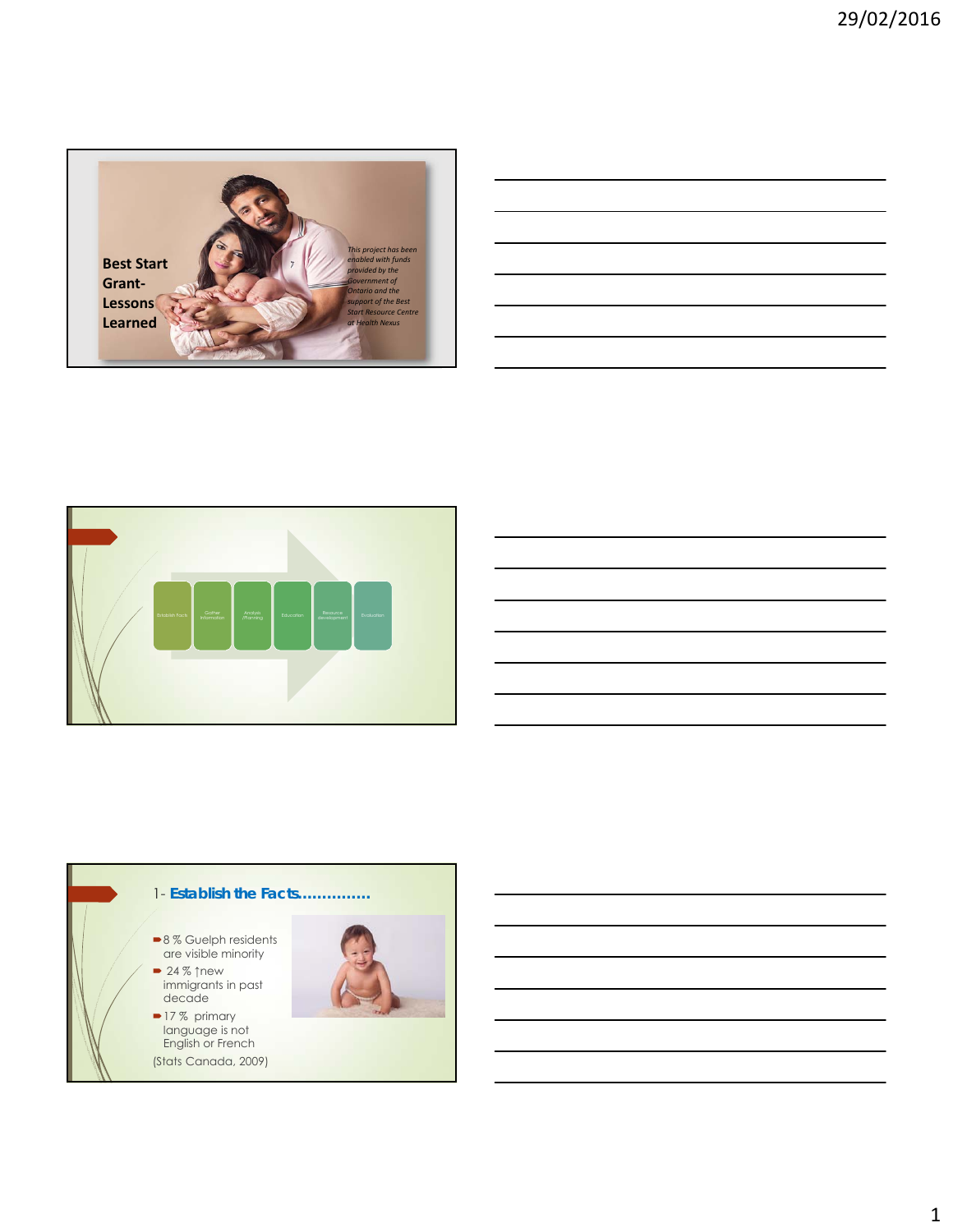

| and the state of the state of the state of the |  |                          |
|------------------------------------------------|--|--------------------------|
|                                                |  |                          |
|                                                |  | $\overline{\phantom{a}}$ |
|                                                |  |                          |
|                                                |  |                          |
|                                                |  | ___                      |
|                                                |  | $\overline{\phantom{a}}$ |
|                                                |  |                          |
|                                                |  | ______                   |
|                                                |  |                          |
|                                                |  |                          |
|                                                |  |                          |
|                                                |  |                          |





1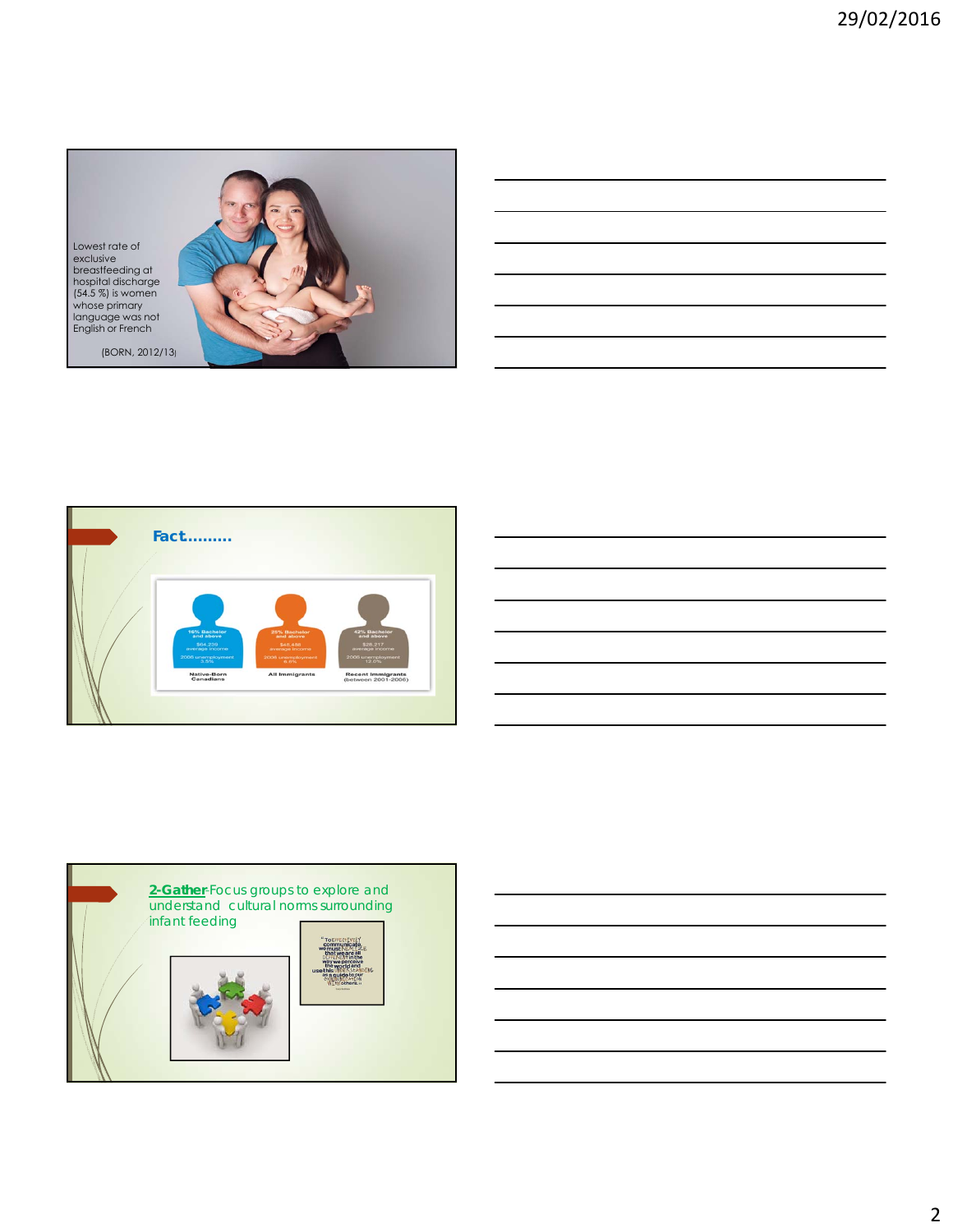



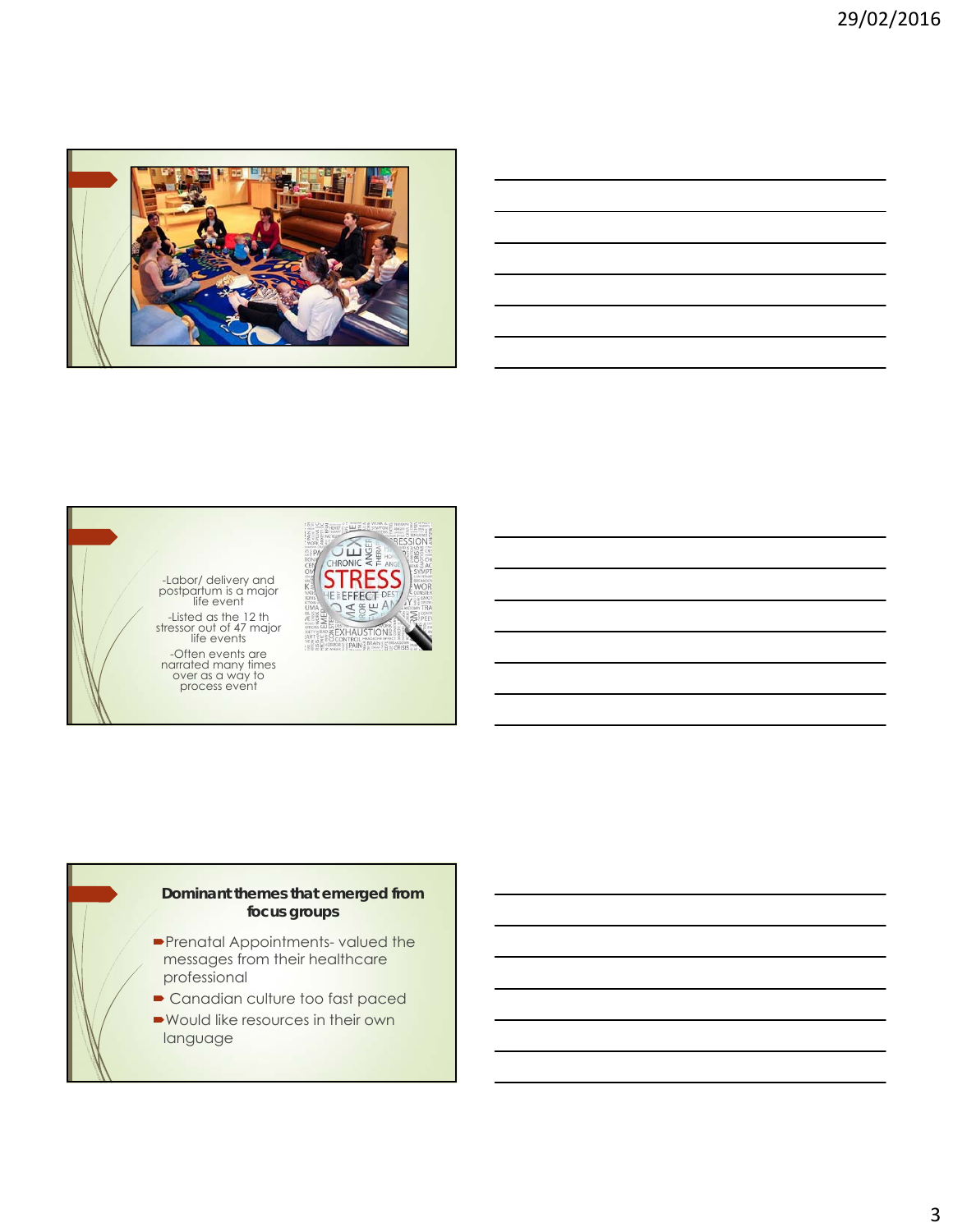

| -Labor/ delivery and<br>postpartum is a major<br>life event<br>-Listed as the 12 th<br>stressor out of 47 major<br>life events<br>-Often events are<br>narrated many times<br>over as a way to<br>process event | CHRONIC<br>HFS |
|-----------------------------------------------------------------------------------------------------------------------------------------------------------------------------------------------------------------|----------------|
|-----------------------------------------------------------------------------------------------------------------------------------------------------------------------------------------------------------------|----------------|

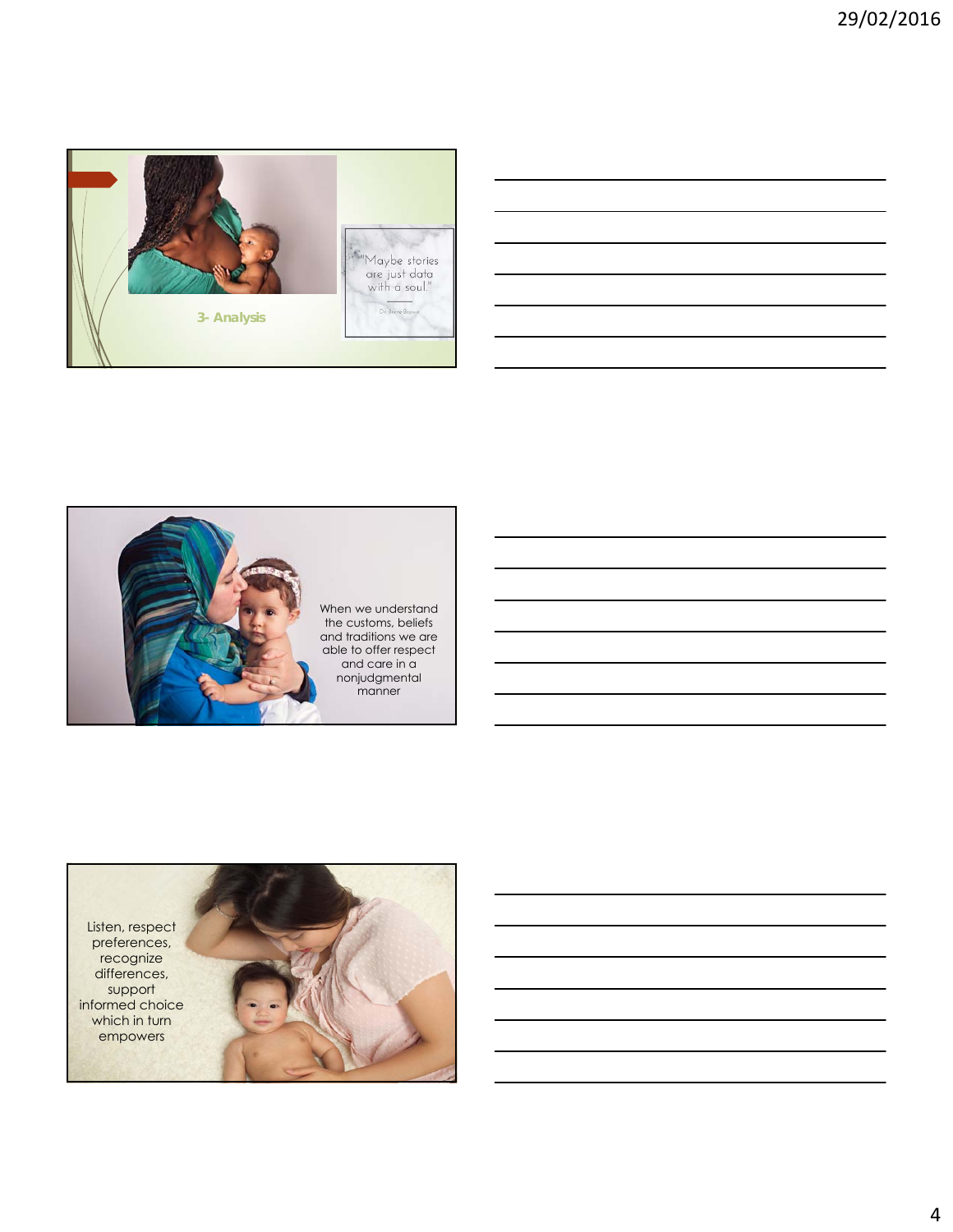

| $\sim$ $\sim$            |  | $\sim$ $\sim$ $\sim$ $\sim$ |
|--------------------------|--|-----------------------------|
|                          |  | $\overline{\phantom{a}}$    |
|                          |  |                             |
|                          |  |                             |
| $\overline{\phantom{a}}$ |  |                             |
|                          |  |                             |



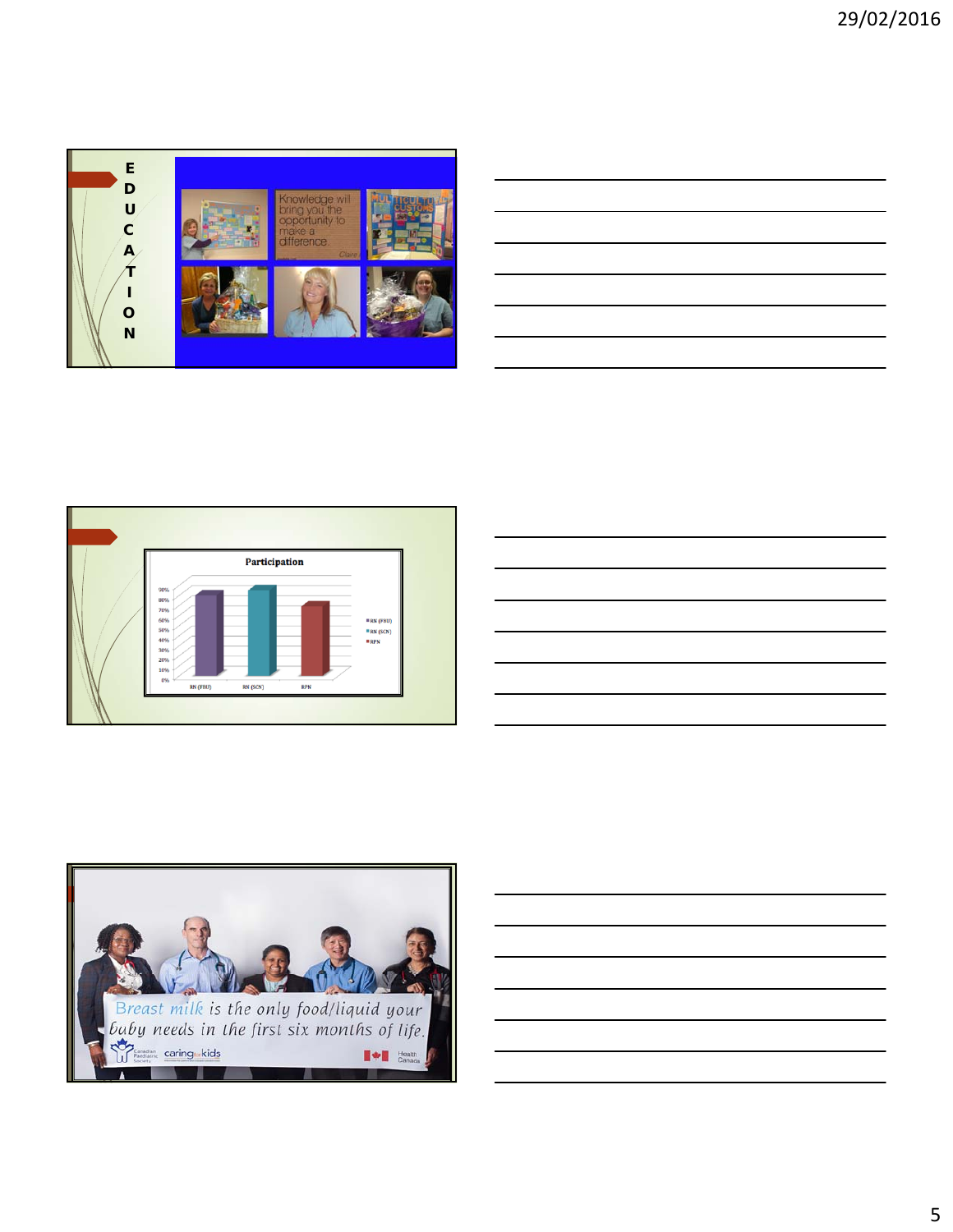





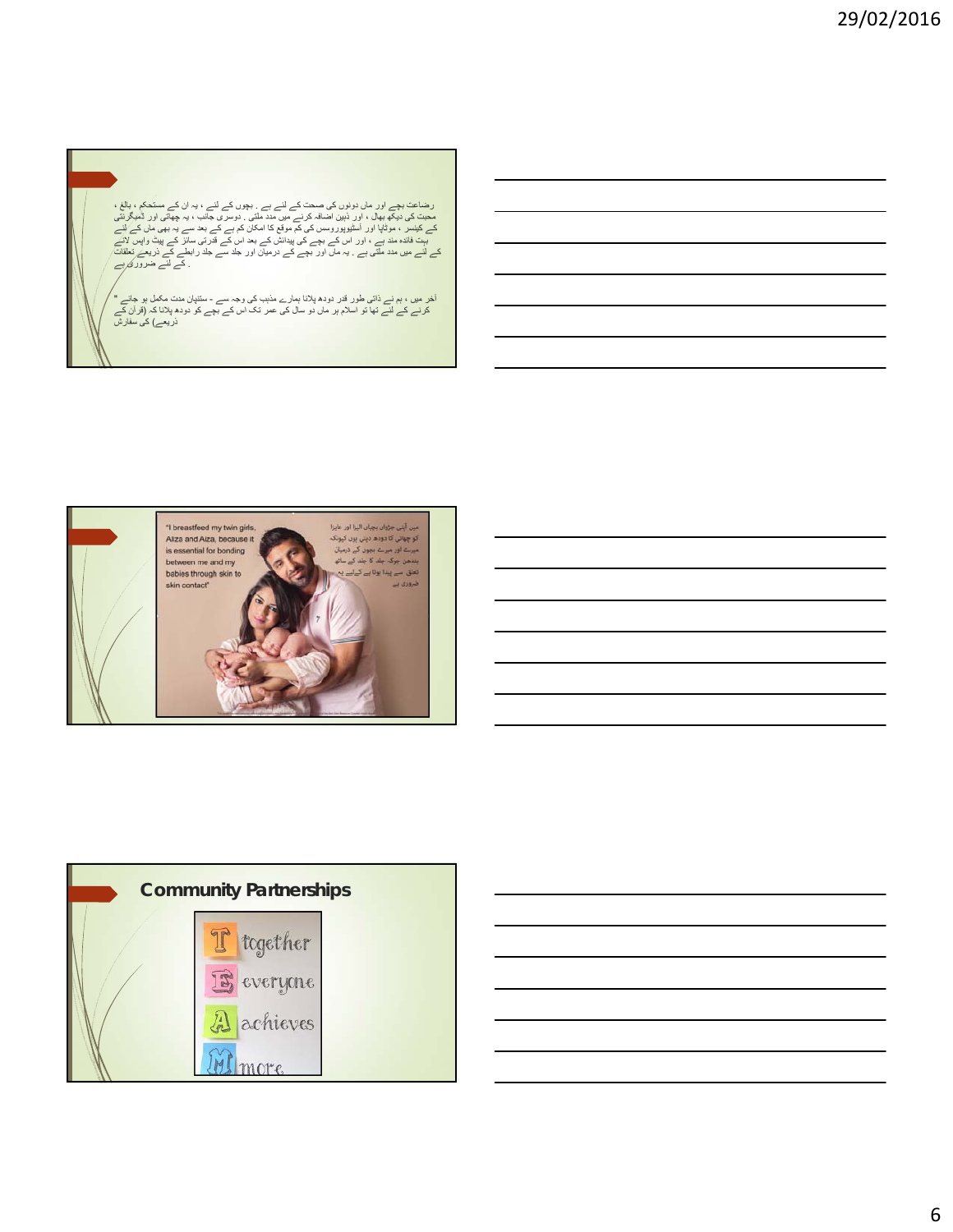ر مضاعت بچے اور ماں دونوں کی صحت کے لئے ہے ۔ بچوں کے لئے ، بہ ان کے مستحکم **، بالی :**<br>محبت کی دیکھ بھال ، اور ذہبن اضافہ کرنے میں مدد ملتی ۔ دوسری جانب ، بہ چھاتی اور ٹمبگز تنی<br>مے کیسر ، موٹاپا اور آسٹیرپوروسس کی کم موقع

آخر میں ، ہم نے ذاتی طور قدر دودھ پلانا ہمارے مذہب کی وجہ سے - ستنپان مدت مکمل ہو جائے "<br>کرنے کے لئے تھا تو اسلام ہر ماں دو سال کی عمر تک اس کے بچے کو دودھ پلانا کہ (قرآن کے<br>ذریعے) کی سفارش





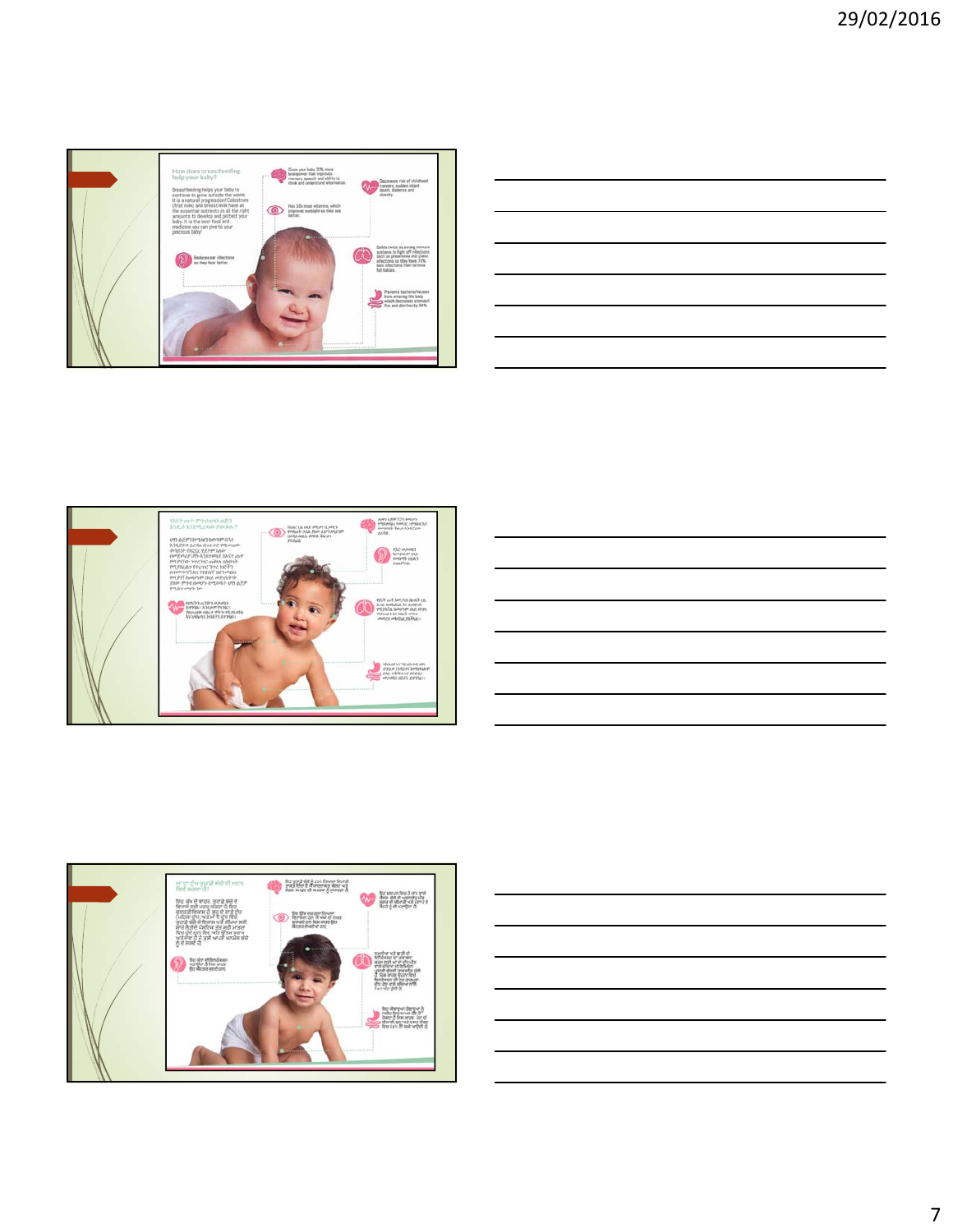









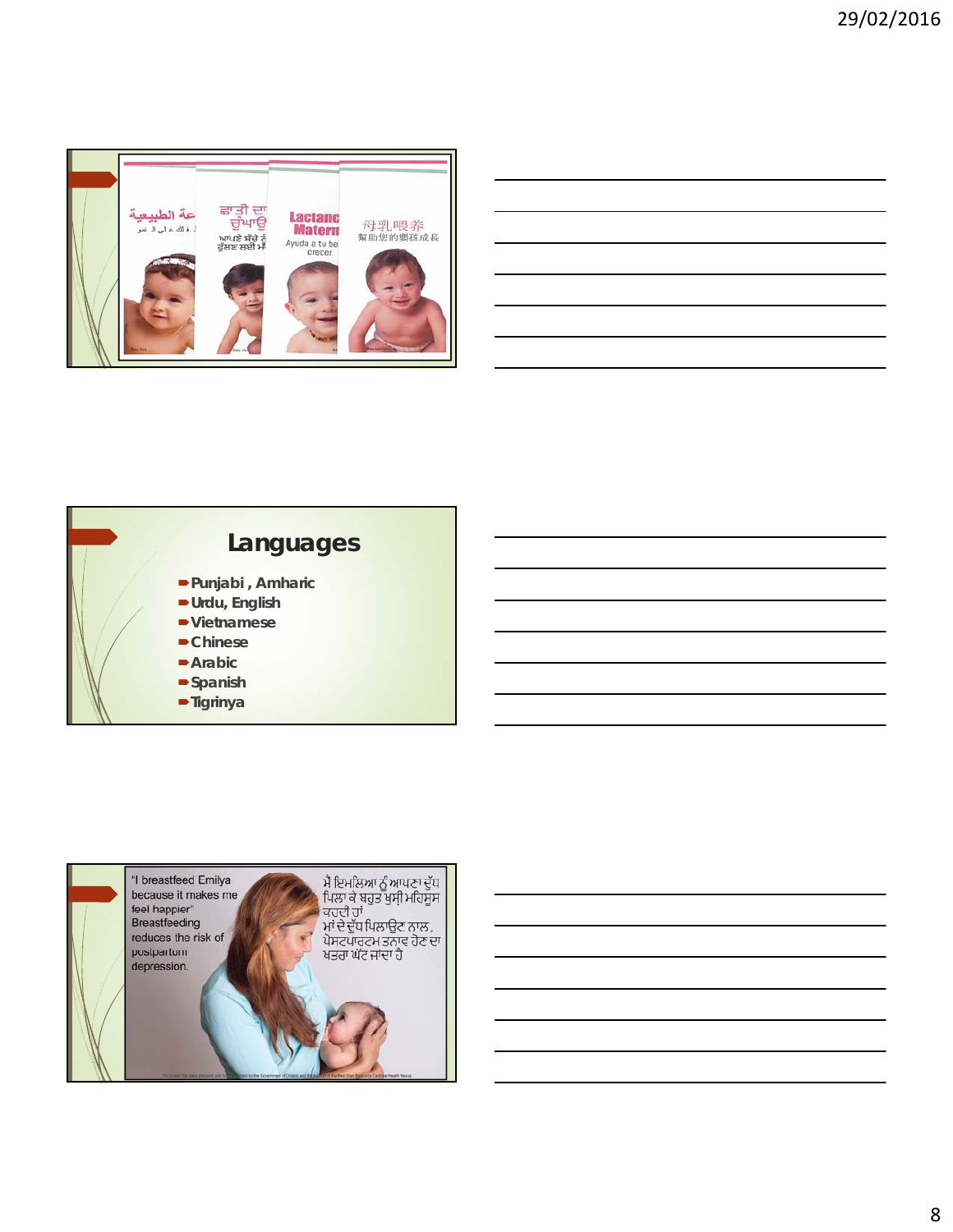

| <u> Alexandro de la contrada de la contrada de la contrada de la contrada de la contrada de la contrada de la co</u> |                                                                                                                                                                                                                               |  |  |
|----------------------------------------------------------------------------------------------------------------------|-------------------------------------------------------------------------------------------------------------------------------------------------------------------------------------------------------------------------------|--|--|
| <u> Andreas Andrews Andrews Andrews Andrews Andrews Andrews Andrews Andrews Andrews Andrews Andrews Andrews Andr</u> |                                                                                                                                                                                                                               |  |  |
|                                                                                                                      |                                                                                                                                                                                                                               |  |  |
|                                                                                                                      | the control of the control of the control of the control of the control of the control of the control of the control of the control of the control of the control of the control of the control of the control of the control |  |  |
|                                                                                                                      |                                                                                                                                                                                                                               |  |  |





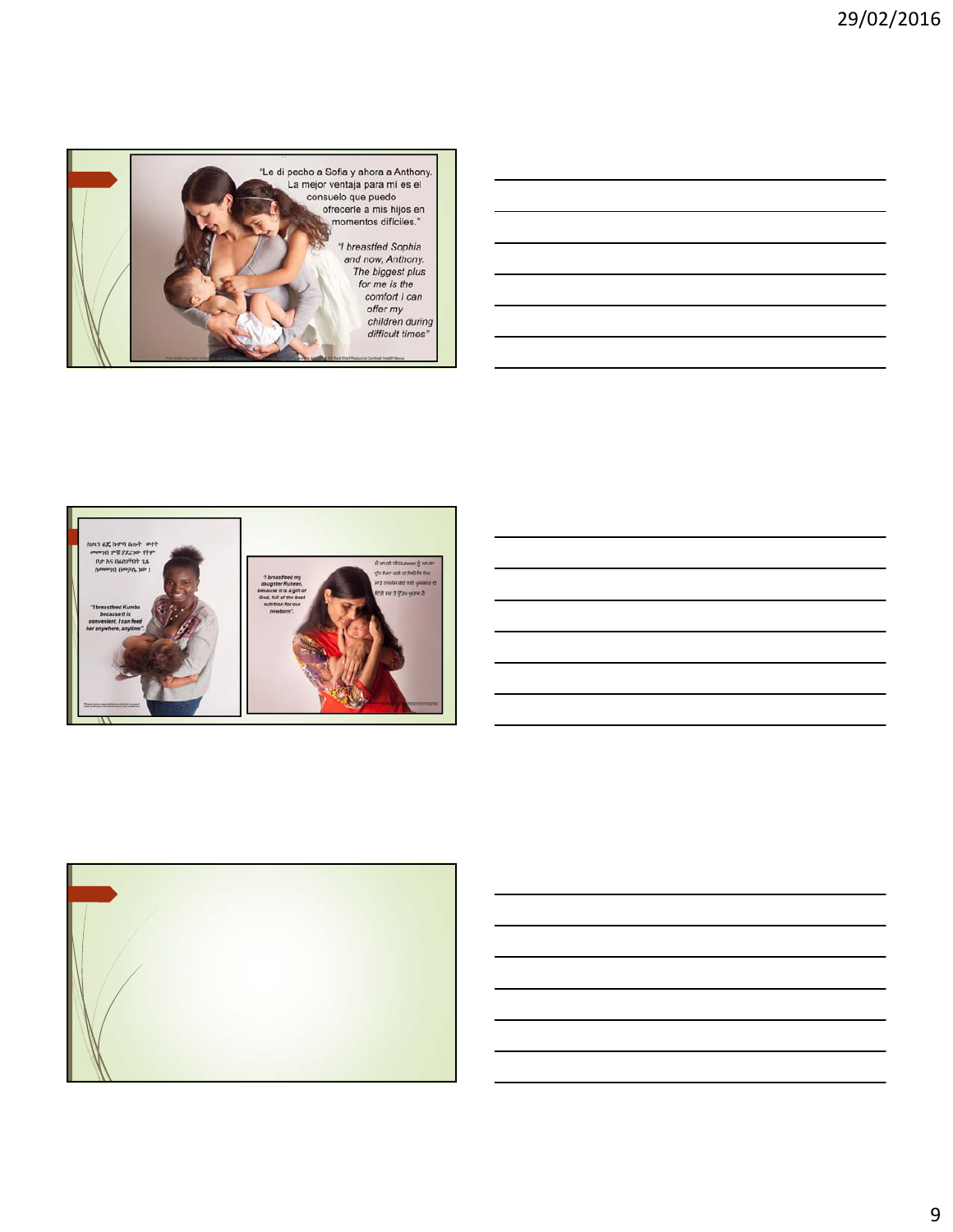